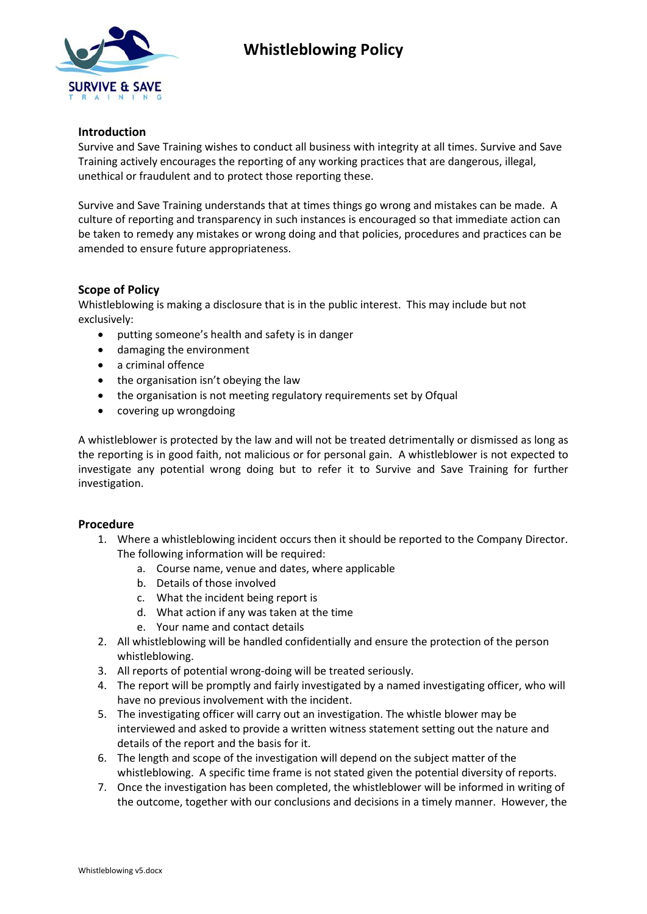

# **Whistleblowing Policy**

### **Introduction**

Survive and Save Training wishes to conduct all business with integrity at all times. Survive and Save Training actively encourages the reporting of any working practices that are dangerous, illegal, unethical or fraudulent and to protect those reporting these.

Survive and Save Training understands that at times things go wrong and mistakes can be made. A culture of reporting and transparency in such instances is encouraged so that immediate action can be taken to remedy any mistakes or wrong doing and that policies, procedures and practices can be amended to ensure future appropriateness.

#### **Scope of Policy**

Whistleblowing is making a disclosure that is in the public interest. This may include but not exclusively:

- putting someone's health and safety is in danger
- damaging the environment
- a criminal offence
- the organisation isn't obeying the law
- the organisation is not meeting regulatory requirements set by Ofqual
- covering up wrongdoing

A whistleblower is protected by the law and will not be treated detrimentally or dismissed as long as the reporting is in good faith, not malicious or for personal gain. A whistleblower is not expected to investigate any potential wrong doing but to refer it to Survive and Save Training for further investigation.

#### **Procedure**

- 1. Where a whistleblowing incident occurs then it should be reported to the Company Director. The following information will be required:
	- a. Course name, venue and dates, where applicable
	- b. Details of those involved
	- c. What the incident being report is
	- d. What action if any was taken at the time
	- e. Your name and contact details
- 2. All whistleblowing will be handled confidentially and ensure the protection of the person whistleblowing.
- 3. All reports of potential wrong-doing will be treated seriously.
- 4. The report will be promptly and fairly investigated by a named investigating officer, who will have no previous involvement with the incident.
- 5. The investigating officer will carry out an investigation. The whistle blower may be interviewed and asked to provide a written witness statement setting out the nature and details of the report and the basis for it.
- 6. The length and scope of the investigation will depend on the subject matter of the whistleblowing. A specific time frame is not stated given the potential diversity of reports.
- 7. Once the investigation has been completed, the whistleblower will be informed in writing of the outcome, together with our conclusions and decisions in a timely manner. However, the